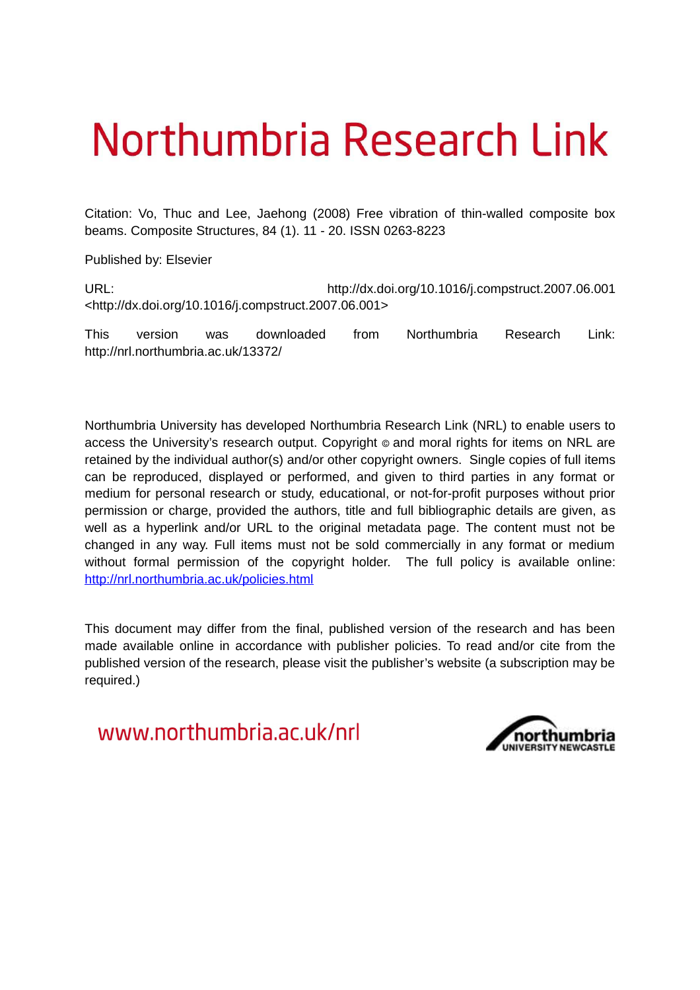# Northumbria Research Link

Citation: Vo, Thuc and Lee, Jaehong (2008) Free vibration of thin-walled composite box beams. Composite Structures, 84 (1). 11 - 20. ISSN 0263-8223

Published by: Elsevier

URL: http://dx.doi.org/10.1016/j.compstruct.2007.06.001 <http://dx.doi.org/10.1016/j.compstruct.2007.06.001>

This version was downloaded from Northumbria Research Link: http://nrl.northumbria.ac.uk/13372/

Northumbria University has developed Northumbria Research Link (NRL) to enable users to access the University's research output. Copyright  $\circ$  and moral rights for items on NRL are retained by the individual author(s) and/or other copyright owners. Single copies of full items can be reproduced, displayed or performed, and given to third parties in any format or medium for personal research or study, educational, or not-for-profit purposes without prior permission or charge, provided the authors, title and full bibliographic details are given, as well as a hyperlink and/or URL to the original metadata page. The content must not be changed in any way. Full items must not be sold commercially in any format or medium without formal permission of the copyright holder. The full policy is available online: <http://nrl.northumbria.ac.uk/policies.html>

This document may differ from the final, published version of the research and has been made available online in accordance with publisher policies. To read and/or cite from the published version of the research, please visit the publisher's website (a subscription may be required.)

www.northumbria.ac.uk/nrl

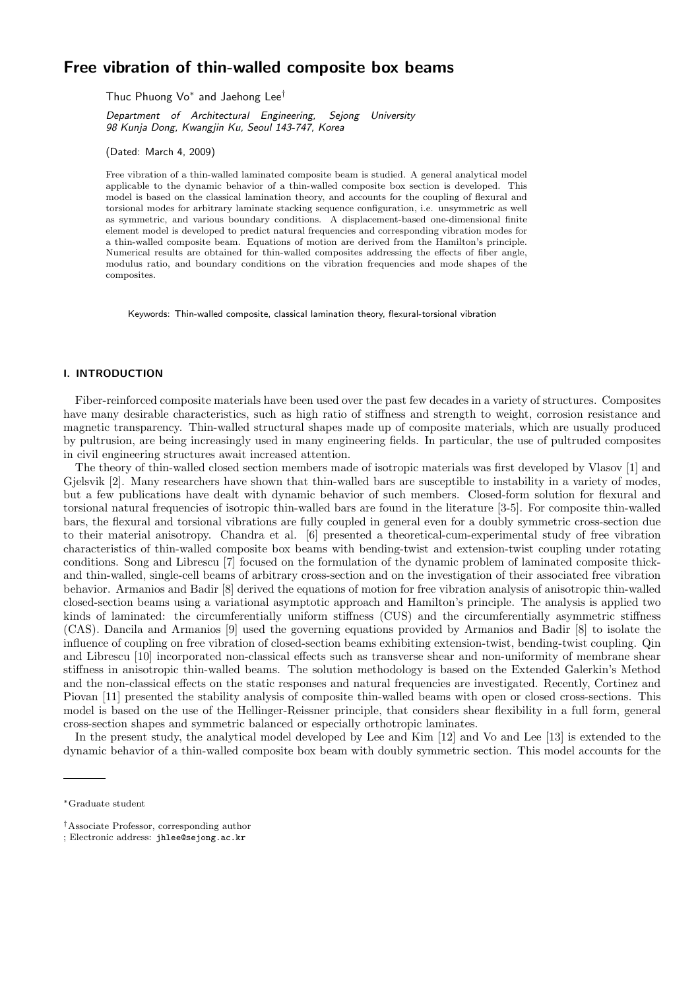# Free vibration of thin-walled composite box beams

Thuc Phuong Vo<sup>\*</sup> and Jaehong Lee<sup>†</sup>

Department of Architectural Engineering, Sejong University 98 Kunja Dong, Kwangjin Ku, Seoul 143-747, Korea

(Dated: March 4, 2009)

Free vibration of a thin-walled laminated composite beam is studied. A general analytical model applicable to the dynamic behavior of a thin-walled composite box section is developed. This model is based on the classical lamination theory, and accounts for the coupling of flexural and torsional modes for arbitrary laminate stacking sequence configuration, i.e. unsymmetric as well as symmetric, and various boundary conditions. A displacement-based one-dimensional finite element model is developed to predict natural frequencies and corresponding vibration modes for a thin-walled composite beam. Equations of motion are derived from the Hamilton's principle. Numerical results are obtained for thin-walled composites addressing the effects of fiber angle, modulus ratio, and boundary conditions on the vibration frequencies and mode shapes of the composites.

Keywords: Thin-walled composite, classical lamination theory, flexural-torsional vibration

#### I. INTRODUCTION

Fiber-reinforced composite materials have been used over the past few decades in a variety of structures. Composites have many desirable characteristics, such as high ratio of stiffness and strength to weight, corrosion resistance and magnetic transparency. Thin-walled structural shapes made up of composite materials, which are usually produced by pultrusion, are being increasingly used in many engineering fields. In particular, the use of pultruded composites in civil engineering structures await increased attention.

The theory of thin-walled closed section members made of isotropic materials was first developed by Vlasov [1] and Gjelsvik [2]. Many researchers have shown that thin-walled bars are susceptible to instability in a variety of modes, but a few publications have dealt with dynamic behavior of such members. Closed-form solution for flexural and torsional natural frequencies of isotropic thin-walled bars are found in the literature [3-5]. For composite thin-walled bars, the flexural and torsional vibrations are fully coupled in general even for a doubly symmetric cross-section due to their material anisotropy. Chandra et al. [6] presented a theoretical-cum-experimental study of free vibration characteristics of thin-walled composite box beams with bending-twist and extension-twist coupling under rotating conditions. Song and Librescu [7] focused on the formulation of the dynamic problem of laminated composite thickand thin-walled, single-cell beams of arbitrary cross-section and on the investigation of their associated free vibration behavior. Armanios and Badir [8] derived the equations of motion for free vibration analysis of anisotropic thin-walled closed-section beams using a variational asymptotic approach and Hamilton's principle. The analysis is applied two kinds of laminated: the circumferentially uniform stiffness (CUS) and the circumferentially asymmetric stiffness (CAS). Dancila and Armanios [9] used the governing equations provided by Armanios and Badir [8] to isolate the influence of coupling on free vibration of closed-section beams exhibiting extension-twist, bending-twist coupling. Qin and Librescu [10] incorporated non-classical effects such as transverse shear and non-uniformity of membrane shear stiffness in anisotropic thin-walled beams. The solution methodology is based on the Extended Galerkin's Method and the non-classical effects on the static responses and natural frequencies are investigated. Recently, Cortinez and Piovan [11] presented the stability analysis of composite thin-walled beams with open or closed cross-sections. This model is based on the use of the Hellinger-Reissner principle, that considers shear flexibility in a full form, general cross-section shapes and symmetric balanced or especially orthotropic laminates.

In the present study, the analytical model developed by Lee and Kim [12] and Vo and Lee [13] is extended to the dynamic behavior of a thin-walled composite box beam with doubly symmetric section. This model accounts for the

<sup>∗</sup>Graduate student

<sup>†</sup>Associate Professor, corresponding author

<sup>;</sup> Electronic address: jhlee@sejong.ac.kr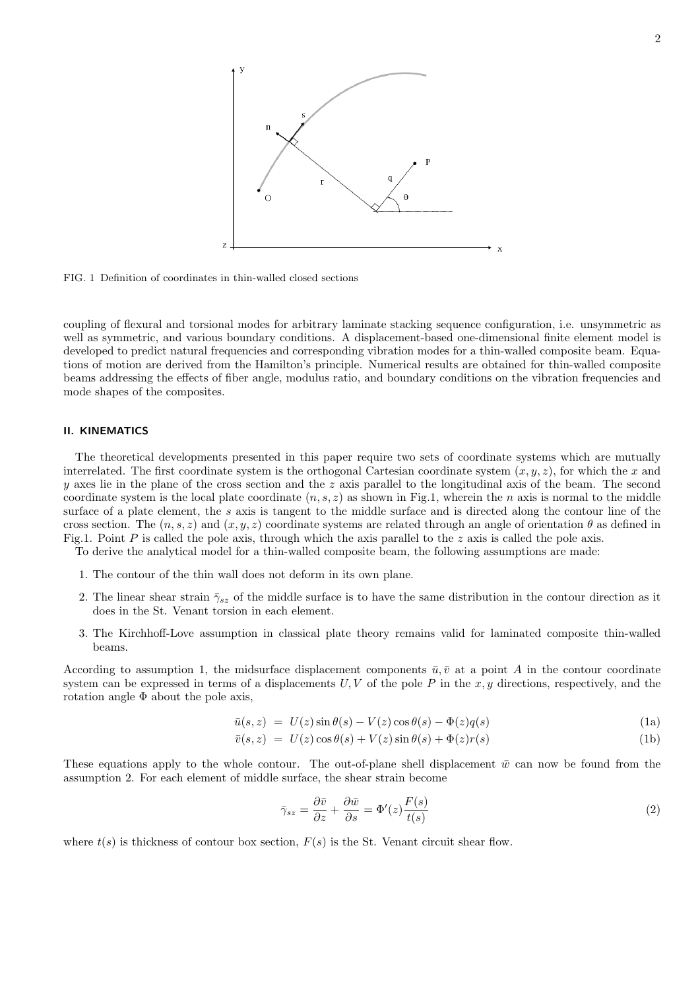

FIG. 1 Definition of coordinates in thin-walled closed sections

coupling of flexural and torsional modes for arbitrary laminate stacking sequence configuration, i.e. unsymmetric as well as symmetric, and various boundary conditions. A displacement-based one-dimensional finite element model is developed to predict natural frequencies and corresponding vibration modes for a thin-walled composite beam. Equations of motion are derived from the Hamilton's principle. Numerical results are obtained for thin-walled composite beams addressing the effects of fiber angle, modulus ratio, and boundary conditions on the vibration frequencies and mode shapes of the composites.

#### II. KINEMATICS

The theoretical developments presented in this paper require two sets of coordinate systems which are mutually interrelated. The first coordinate system is the orthogonal Cartesian coordinate system  $(x, y, z)$ , for which the x and y axes lie in the plane of the cross section and the z axis parallel to the longitudinal axis of the beam. The second coordinate system is the local plate coordinate  $(n, s, z)$  as shown in Fig.1, wherein the n axis is normal to the middle surface of a plate element, the s axis is tangent to the middle surface and is directed along the contour line of the cross section. The  $(n, s, z)$  and  $(x, y, z)$  coordinate systems are related through an angle of orientation  $\theta$  as defined in Fig.1. Point P is called the pole axis, through which the axis parallel to the z axis is called the pole axis.

To derive the analytical model for a thin-walled composite beam, the following assumptions are made:

- 1. The contour of the thin wall does not deform in its own plane.
- 2. The linear shear strain  $\bar{\gamma}_{sz}$  of the middle surface is to have the same distribution in the contour direction as it does in the St. Venant torsion in each element.
- 3. The Kirchhoff-Love assumption in classical plate theory remains valid for laminated composite thin-walled beams.

According to assumption 1, the midsurface displacement components  $\bar{u}, \bar{v}$  at a point A in the contour coordinate system can be expressed in terms of a displacements  $U, V$  of the pole P in the x, y directions, respectively, and the rotation angle Φ about the pole axis,

$$
\bar{u}(s,z) = U(z)\sin\theta(s) - V(z)\cos\theta(s) - \Phi(z)q(s)
$$
\n(1a)

$$
\bar{v}(s, z) = U(z) \cos \theta(s) + V(z) \sin \theta(s) + \Phi(z) r(s)
$$
\n(1b)

These equations apply to the whole contour. The out-of-plane shell displacement  $\bar{w}$  can now be found from the assumption 2. For each element of middle surface, the shear strain become

$$
\bar{\gamma}_{sz} = \frac{\partial \bar{v}}{\partial z} + \frac{\partial \bar{w}}{\partial s} = \Phi'(z) \frac{F(s)}{t(s)}
$$
(2)

where  $t(s)$  is thickness of contour box section,  $F(s)$  is the St. Venant circuit shear flow.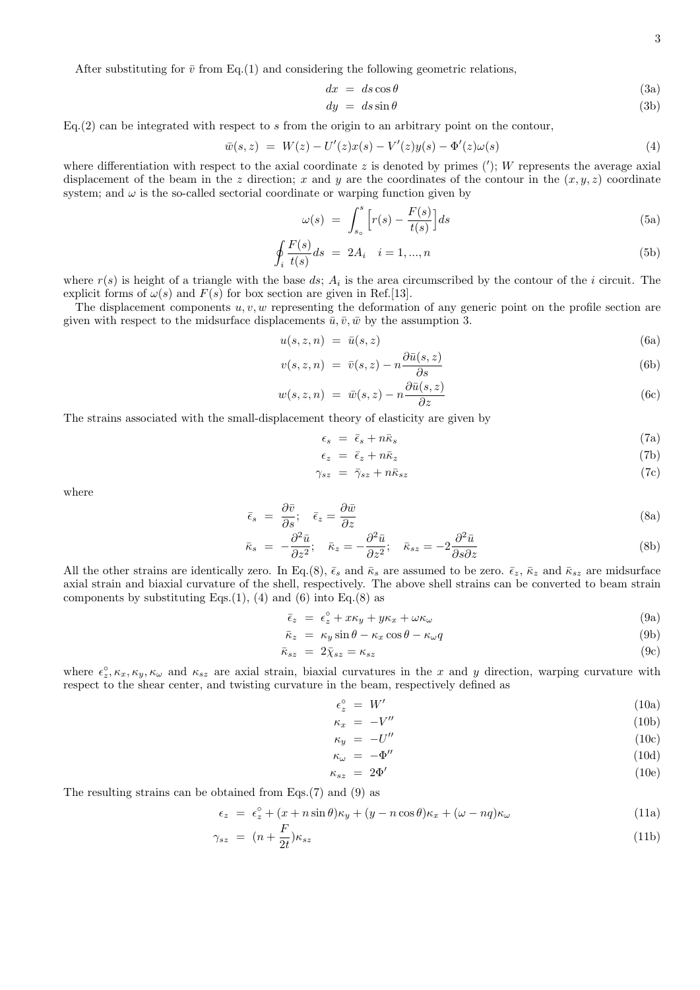After substituting for  $\bar{v}$  from Eq.(1) and considering the following geometric relations,

$$
dx = ds \cos \theta \tag{3a}
$$

$$
dy = ds \sin \theta \tag{3b}
$$

 $Eq.(2)$  can be integrated with respect to s from the origin to an arbitrary point on the contour,

$$
\bar{w}(s,z) = W(z) - U'(z)x(s) - V'(z)y(s) - \Phi'(z)\omega(s)
$$
\n(4)

where differentiation with respect to the axial coordinate  $z$  is denoted by primes  $(');$  W represents the average axial displacement of the beam in the z direction; x and y are the coordinates of the contour in the  $(x, y, z)$  coordinate system; and  $\omega$  is the so-called sectorial coordinate or warping function given by

$$
\omega(s) = \int_{s_o}^{s} \left[ r(s) - \frac{F(s)}{t(s)} \right] ds \tag{5a}
$$

$$
\oint_{i} \frac{F(s)}{t(s)} ds = 2A_{i} \quad i = 1, ..., n
$$
\n(5b)

where  $r(s)$  is height of a triangle with the base ds;  $A_i$  is the area circumscribed by the contour of the i circuit. The explicit forms of  $\omega(s)$  and  $F(s)$  for box section are given in Ref.[13].

The displacement components  $u, v, w$  representing the deformation of any generic point on the profile section are given with respect to the midsurface displacements  $\bar{u}, \bar{v}, \bar{w}$  by the assumption 3.

$$
u(s, z, n) = \bar{u}(s, z) \tag{6a}
$$

$$
v(s, z, n) = \bar{v}(s, z) - n \frac{\partial \bar{u}(s, z)}{\partial s}
$$
(6b)

$$
w(s, z, n) = \bar{w}(s, z) - n \frac{\partial \bar{u}(s, z)}{\partial z}
$$
\n(6c)

The strains associated with the small-displacement theory of elasticity are given by

$$
\epsilon_s = \bar{\epsilon}_s + n\bar{\kappa}_s \tag{7a}
$$

$$
\epsilon_z = \bar{\epsilon}_z + n\bar{\kappa}_z \tag{7b}
$$

$$
\gamma_{sz} = \bar{\gamma}_{sz} + n\bar{\kappa}_{sz} \tag{7c}
$$

where

$$
\bar{\epsilon}_s = \frac{\partial \bar{v}}{\partial s}; \quad \bar{\epsilon}_z = \frac{\partial \bar{w}}{\partial z}
$$
\n(8a)

$$
\bar{\kappa}_s = -\frac{\partial^2 \bar{u}}{\partial z^2}; \quad \bar{\kappa}_z = -\frac{\partial^2 \bar{u}}{\partial z^2}; \quad \bar{\kappa}_{sz} = -2\frac{\partial^2 \bar{u}}{\partial s \partial z}
$$
(8b)

All the other strains are identically zero. In Eq.(8),  $\bar{\epsilon}_s$  and  $\bar{\kappa}_s$  are assumed to be zero.  $\bar{\epsilon}_z$ ,  $\bar{\kappa}_z$  and  $\bar{\kappa}_{sz}$  are midsurface axial strain and biaxial curvature of the shell, respectively. The above shell strains can be converted to beam strain components by substituting Eqs. $(1)$ ,  $(4)$  and  $(6)$  into Eq. $(8)$  as

$$
\bar{\epsilon}_z = \epsilon_z^{\circ} + x\kappa_y + y\kappa_x + \omega\kappa_\omega \tag{9a}
$$

$$
\bar{\kappa}_z = \kappa_y \sin \theta - \kappa_x \cos \theta - \kappa_\omega q \tag{9b}
$$

$$
\bar{\kappa}_{sz} = 2\bar{\chi}_{sz} = \kappa_{sz} \tag{9c}
$$

where  $\epsilon_z^{\circ}, \kappa_x, \kappa_y, \kappa_\omega$  and  $\kappa_{sz}$  are axial strain, biaxial curvatures in the x and y direction, warping curvature with respect to the shear center, and twisting curvature in the beam, respectively defined as

$$
\epsilon_z^{\circ} = W' \tag{10a}
$$

$$
\kappa_x = -V'' \tag{10b}
$$

$$
\kappa_y = -U'' \tag{10c}
$$

$$
\kappa_{\omega} = -\Phi'' \tag{10d}
$$

$$
\kappa_{sz} = 2\Phi' \tag{10e}
$$

The resulting strains can be obtained from Eqs.(7) and (9) as

$$
\epsilon_z = \epsilon_z^{\circ} + (x + n\sin\theta)\kappa_y + (y - n\cos\theta)\kappa_x + (\omega - nq)\kappa_\omega \tag{11a}
$$

$$
\gamma_{sz} = (n + \frac{F}{2t})\kappa_{sz} \tag{11b}
$$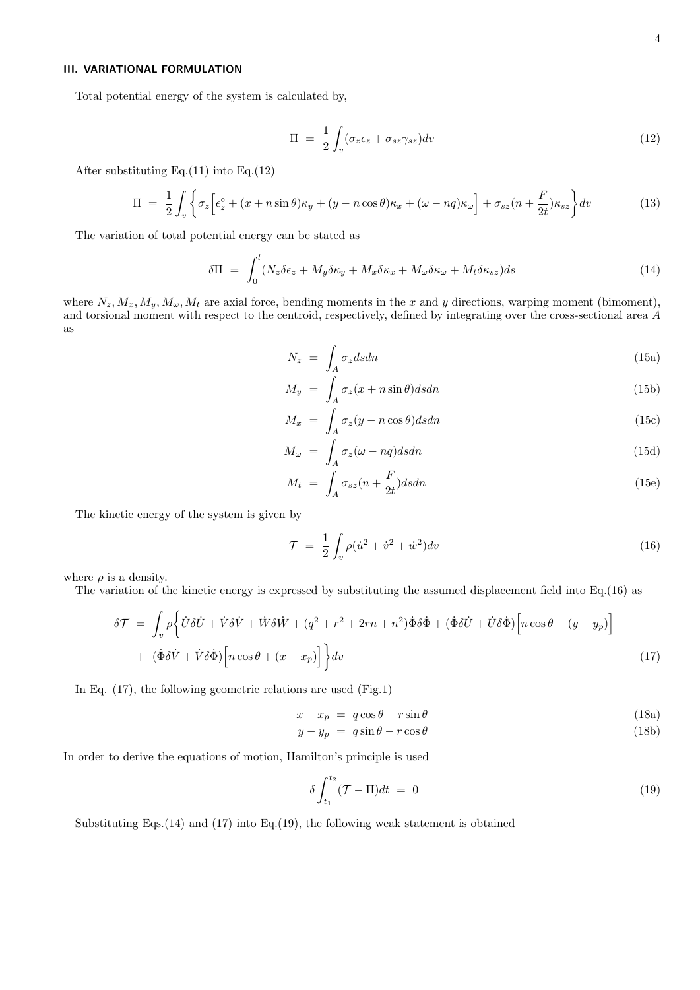### III. VARIATIONAL FORMULATION

Total potential energy of the system is calculated by,

$$
\Pi = \frac{1}{2} \int_{v} (\sigma_z \epsilon_z + \sigma_{sz} \gamma_{sz}) dv \tag{12}
$$

After substituting Eq.(11) into Eq.(12)

$$
\Pi = \frac{1}{2} \int_{v} \left\{ \sigma_z \left[ \epsilon_z^{\circ} + (x + n \sin \theta) \kappa_y + (y - n \cos \theta) \kappa_x + (\omega - nq) \kappa_\omega \right] + \sigma_{sz} (n + \frac{F}{2t}) \kappa_{sz} \right\} dv \tag{13}
$$

The variation of total potential energy can be stated as

$$
\delta\Pi = \int_0^l (N_z \delta \epsilon_z + M_y \delta \kappa_y + M_x \delta \kappa_x + M_\omega \delta \kappa_\omega + M_t \delta \kappa_{sz}) ds \tag{14}
$$

where  $N_z, M_x, M_y, M_\omega, M_t$  are axial force, bending moments in the x and y directions, warping moment (bimoment), and torsional moment with respect to the centroid, respectively, defined by integrating over the cross-sectional area A as

$$
N_z = \int_A \sigma_z ds dn \tag{15a}
$$

$$
M_y = \int_A \sigma_z(x + n\sin\theta) ds dn \tag{15b}
$$

$$
M_x = \int_A \sigma_z(y - n\cos\theta) dsdn \tag{15c}
$$

$$
M_{\omega} = \int_{A} \sigma_{z}(\omega - nq) ds dn \tag{15d}
$$

$$
M_t = \int_A \sigma_{sz}(n + \frac{F}{2t}) ds dn \tag{15e}
$$

The kinetic energy of the system is given by

$$
\mathcal{T} = \frac{1}{2} \int_{v} \rho (\dot{u}^2 + \dot{v}^2 + \dot{w}^2) dv \tag{16}
$$

where  $\rho$  is a density.

The variation of the kinetic energy is expressed by substituting the assumed displacement field into Eq.(16) as

$$
\delta \mathcal{T} = \int_{v} \rho \left\{ \dot{U} \delta \dot{U} + \dot{V} \delta \dot{V} + \dot{W} \delta \dot{W} + (q^2 + r^2 + 2rn + n^2) \dot{\Phi} \delta \dot{\Phi} + (\dot{\Phi} \delta \dot{U} + \dot{U} \delta \dot{\Phi}) \left[ n \cos \theta - (y - y_p) \right] \right. \\ + \left. (\dot{\Phi} \delta \dot{V} + \dot{V} \delta \dot{\Phi}) \left[ n \cos \theta + (x - x_p) \right] \right\} dv \tag{17}
$$

In Eq. (17), the following geometric relations are used (Fig.1)

$$
x - x_p = q \cos \theta + r \sin \theta \tag{18a}
$$

$$
y - y_p = q \sin \theta - r \cos \theta \tag{18b}
$$

In order to derive the equations of motion, Hamilton's principle is used

$$
\delta \int_{t_1}^{t_2} (\mathcal{T} - \Pi) dt = 0 \tag{19}
$$

Substituting Eqs.(14) and (17) into Eq.(19), the following weak statement is obtained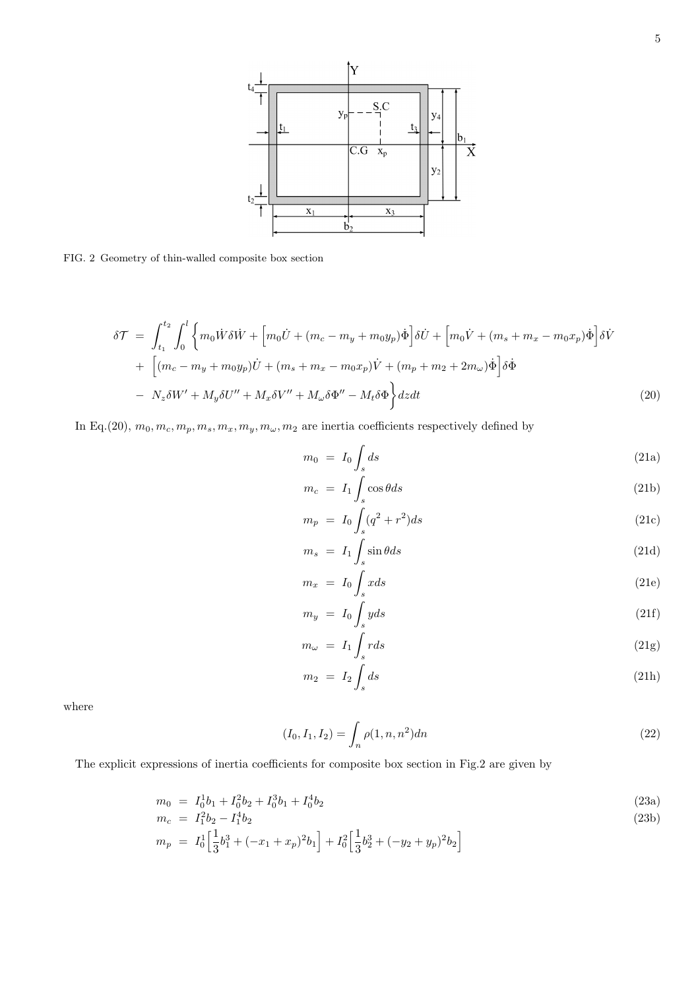

FIG. 2 Geometry of thin-walled composite box section

$$
\delta \mathcal{T} = \int_{t_1}^{t_2} \int_0^l \left\{ m_0 \dot{W} \delta \dot{W} + \left[ m_0 \dot{U} + (m_c - m_y + m_0 y_p) \dot{\Phi} \right] \delta \dot{U} + \left[ m_0 \dot{V} + (m_s + m_x - m_0 x_p) \dot{\Phi} \right] \delta \dot{V} \right. \\
\left. + \left[ (m_c - m_y + m_0 y_p) \dot{U} + (m_s + m_x - m_0 x_p) \dot{V} + (m_p + m_2 + 2 m_\omega) \dot{\Phi} \right] \delta \dot{\Phi} \right. \\
\left. - N_z \delta W' + M_y \delta U'' + M_x \delta V'' + M_\omega \delta \Phi'' - M_t \delta \Phi \right\} dz dt \tag{20}
$$

In Eq.(20),  $m_0, m_c, m_p, m_s, m_x, m_y, m_\omega, m_2$  are inertia coefficients respectively defined by

$$
m_0 = I_0 \int_s ds \tag{21a}
$$

$$
m_c = I_1 \int_s \cos \theta \, ds \tag{21b}
$$

$$
m_p = I_0 \int_s (q^2 + r^2) ds \tag{21c}
$$

$$
m_s = I_1 \int_s \sin \theta ds \tag{21d}
$$

$$
m_x = I_0 \int_s x ds \tag{21e}
$$

$$
m_y = I_0 \int_s y ds \tag{21f}
$$

$$
m_{\omega} = I_1 \int_s r ds \tag{21g}
$$

$$
m_2 = I_2 \int_s ds \tag{21h}
$$

where

$$
(I_0, I_1, I_2) = \int_n \rho(1, n, n^2) dn
$$
\n(22)

The explicit expressions of inertia coefficients for composite box section in Fig.2 are given by

$$
m_0 = I_0^1 b_1 + I_0^2 b_2 + I_0^3 b_1 + I_0^4 b_2 \tag{23a}
$$

$$
m_c = I_1^2 b_2 - I_1^4 b_2 \tag{23b}
$$

$$
m_p = I_0^1 \left[ \frac{1}{3} b_1^3 + (-x_1 + x_p)^2 b_1 \right] + I_0^2 \left[ \frac{1}{3} b_2^3 + (-y_2 + y_p)^2 b_2 \right]
$$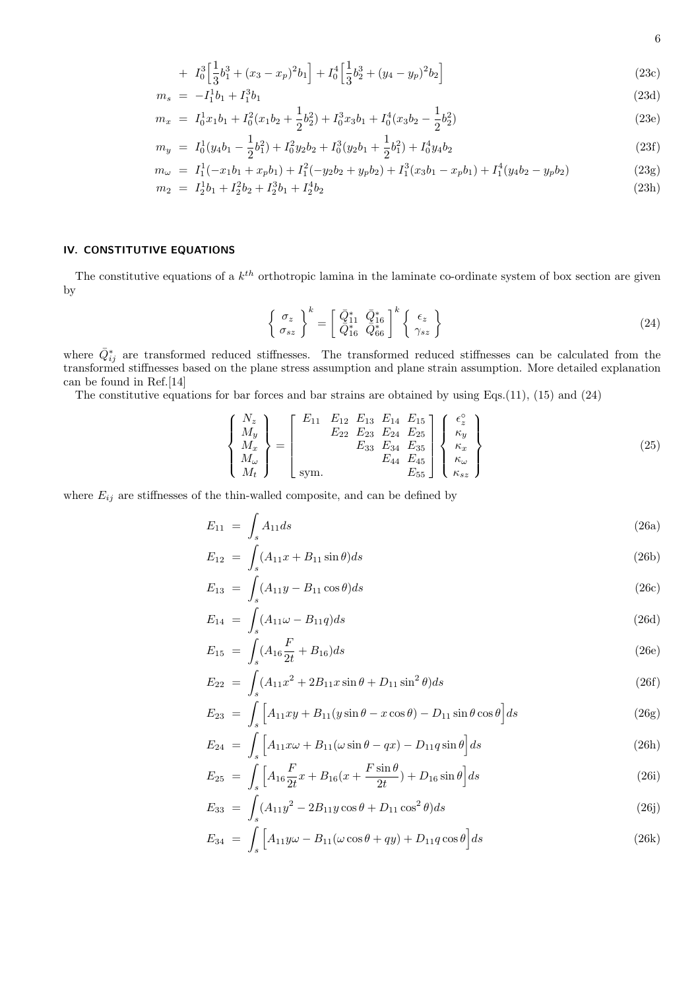+ 
$$
I_0^3 \left[ \frac{1}{3} b_1^3 + (x_3 - x_p)^2 b_1 \right] + I_0^4 \left[ \frac{1}{3} b_2^3 + (y_4 - y_p)^2 b_2 \right]
$$
 (23c)

$$
m_s = -I_1^1 b_1 + I_1^3 b_1 \tag{23d}
$$

$$
m_x = I_0^1 x_1 b_1 + I_0^2 (x_1 b_2 + \frac{1}{2} b_2^2) + I_0^3 x_3 b_1 + I_0^4 (x_3 b_2 - \frac{1}{2} b_2^2)
$$
\n
$$
(23e)
$$

$$
m_y = I_0^1(y_4b_1 - \frac{1}{2}b_1^2) + I_0^2y_2b_2 + I_0^3(y_2b_1 + \frac{1}{2}b_1^2) + I_0^4y_4b_2
$$
\n(23f)

$$
m_{\omega} = I_1^1(-x_1b_1 + x_pb_1) + I_1^2(-y_2b_2 + y_pb_2) + I_1^3(x_3b_1 - x_pb_1) + I_1^4(y_4b_2 - y_pb_2)
$$
\n
$$
m_2 = I_2^1b_1 + I_2^2b_2 + I_2^3b_1 + I_2^4b_2
$$
\n(23h)

$$
I_2 = I_2^1 b_1 + I_2^2 b_2 + I_2^3 b_1 + I_2^4 b_2 \tag{23h}
$$

## IV. CONSTITUTIVE EQUATIONS

The constitutive equations of a  $k^{th}$  orthotropic lamina in the laminate co-ordinate system of box section are given by

$$
\begin{Bmatrix} \sigma_z \\ \sigma_{sz} \end{Bmatrix}^k = \begin{bmatrix} \bar{Q}_{11}^* & \bar{Q}_{16}^* \\ \bar{Q}_{16}^* & \bar{Q}_{66}^* \end{bmatrix}^k \begin{Bmatrix} \epsilon_z \\ \gamma_{sz} \end{Bmatrix}
$$
 (24)

where  $\bar{Q}_{ij}^*$  are transformed reduced stiffnesses. The transformed reduced stiffnesses can be calculated from the transformed stiffnesses based on the plane stress assumption and plane strain assumption. More detailed explanation can be found in Ref.[14]

The constitutive equations for bar forces and bar strains are obtained by using Eqs.(11), (15) and (24)

$$
\begin{Bmatrix}\nN_z \\
M_y \\
M_x \\
M_w \\
M_t\n\end{Bmatrix} = \begin{bmatrix}\nE_{11} & E_{12} & E_{13} & E_{14} & E_{15} \\
E_{22} & E_{23} & E_{24} & E_{25} \\
E_{33} & E_{34} & E_{35} \\
E_{44} & E_{45} \\
E_{55}\n\end{bmatrix} \begin{Bmatrix}\n\epsilon_z^{\circ} \\
\kappa_y \\
\kappa_x \\
\kappa_w \\
\kappa_{sz}\n\end{Bmatrix}
$$
\n(25)

where  $E_{ij}$  are stiffnesses of the thin-walled composite, and can be defined by

$$
E_{11} = \int_{s} A_{11} ds \tag{26a}
$$

$$
E_{12} = \int_{s} (A_{11}x + B_{11}\sin\theta)ds
$$
 (26b)

$$
E_{13} = \int_{s} (A_{11}y - B_{11}\cos\theta)ds
$$
 (26c)

$$
E_{14} = \int_{s} (A_{11}\omega - B_{11}q)ds \tag{26d}
$$

$$
E_{15} = \int_{s} (A_{16} \frac{F}{2t} + B_{16}) ds
$$
 (26e)

$$
E_{22} = \int_{s} (A_{11}x^2 + 2B_{11}x\sin\theta + D_{11}\sin^2\theta)ds
$$
 (26f)

$$
E_{23} = \int_{s} \left[ A_{11}xy + B_{11}(y\sin\theta - x\cos\theta) - D_{11}\sin\theta\cos\theta \right] ds
$$
 (26g)

$$
E_{24} = \int_{s} \left[ A_{11}x\omega + B_{11}(\omega \sin \theta - qx) - D_{11}q \sin \theta \right] ds \tag{26h}
$$

$$
E_{25} = \int_{s} \left[ A_{16} \frac{F}{2t} x + B_{16} (x + \frac{F \sin \theta}{2t}) + D_{16} \sin \theta \right] ds \tag{26i}
$$

$$
E_{33} = \int_{s} (A_{11}y^2 - 2B_{11}y\cos\theta + D_{11}\cos^2\theta)ds
$$
 (26j)

$$
E_{34} = \int_{s} \left[ A_{11} y \omega - B_{11} (\omega \cos \theta + q y) + D_{11} q \cos \theta \right] ds \tag{26k}
$$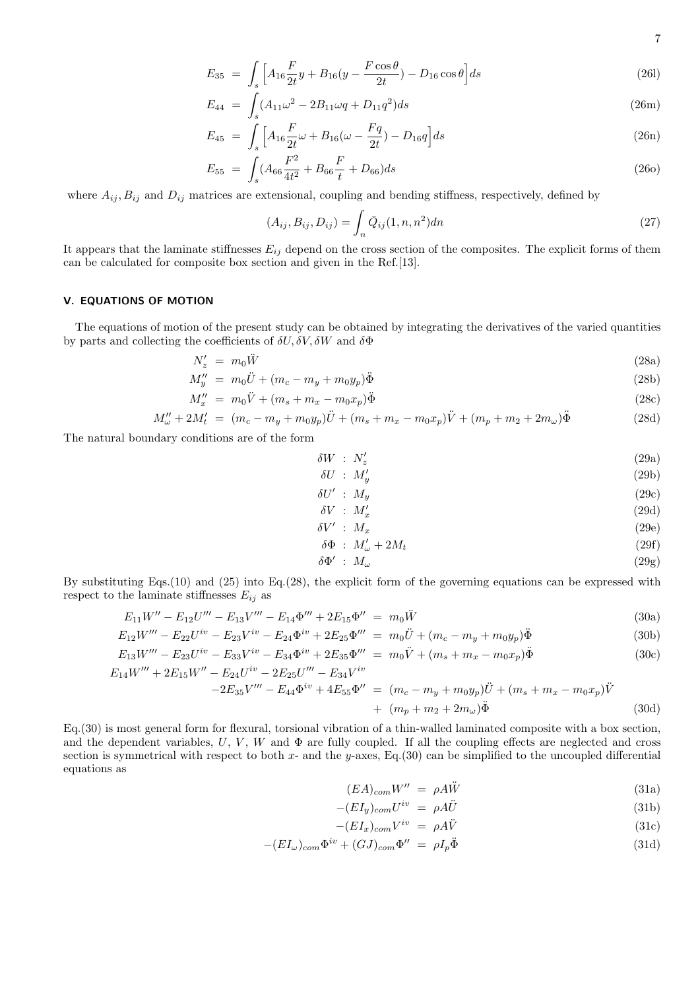$$
E_{35} = \int_{s} \left[ A_{16} \frac{F}{2t} y + B_{16} (y - \frac{F \cos \theta}{2t}) - D_{16} \cos \theta \right] ds \tag{261}
$$

$$
E_{44} = \int_{s} (A_{11}\omega^2 - 2B_{11}\omega q + D_{11}q^2)ds
$$
 (26m)

$$
E_{45} = \int_{s} \left[ A_{16} \frac{F}{2t} \omega + B_{16} (\omega - \frac{Fq}{2t}) - D_{16} q \right] ds \tag{26n}
$$

$$
E_{55} = \int_{s} (A_{66} \frac{F^2}{4t^2} + B_{66} \frac{F}{t} + D_{66}) ds
$$
 (260)

where  $A_{ij}, B_{ij}$  and  $D_{ij}$  matrices are extensional, coupling and bending stiffness, respectively, defined by

$$
(A_{ij}, B_{ij}, D_{ij}) = \int_n \bar{Q}_{ij}(1, n, n^2) dn
$$
\n(27)

It appears that the laminate stiffnesses  $E_{ij}$  depend on the cross section of the composites. The explicit forms of them can be calculated for composite box section and given in the Ref.[13].

#### V. EQUATIONS OF MOTION

The equations of motion of the present study can be obtained by integrating the derivatives of the varied quantities by parts and collecting the coefficients of  $\delta U, \delta V, \delta W$  and  $\delta \Phi$ 

$$
N_z' = m_0 \ddot{W} \tag{28a}
$$

$$
M''_y = m_0 \ddot{U} + (m_c - m_y + m_0 y_p) \ddot{\Phi}
$$
 (28b)

$$
M''_x = m_0 \ddot{V} + (m_s + m_x - m_0 x_p) \ddot{\Phi}
$$
\n(28c)

$$
M''_{\omega} + 2M'_t = (m_c - m_y + m_0 y_p) \ddot{U} + (m_s + m_x - m_0 x_p) \ddot{V} + (m_p + m_2 + 2m_{\omega}) \ddot{\Phi}
$$
 (28d)

The natural boundary conditions are of the form

$$
\delta W \; : \; N_z' \tag{29a}
$$

$$
\delta U \; : \; M'_y \tag{29b}
$$

$$
\delta U' \; : \; M_y \tag{29c}
$$

$$
\delta V \; : \; M_x' \tag{29d}
$$

$$
\delta V' : M_x \tag{29e}
$$

$$
\delta\Phi \; : \; M'_{\omega} + 2M_t \tag{29f}
$$

$$
\delta\Phi' \; : \; M_{\omega} \tag{29g}
$$

By substituting Eqs.(10) and (25) into Eq.(28), the explicit form of the governing equations can be expressed with respect to the laminate stiffnesses  $E_{ij}$  as

$$
E_{11}W'' - E_{12}U''' - E_{13}V''' - E_{14}\Phi''' + 2E_{15}\Phi'' = m_0\ddot{W}
$$
\n(30a)

$$
E_{12}W''' - E_{22}U^{iv} - E_{23}V^{iv} - E_{24}\Phi^{iv} + 2E_{25}\Phi''' = m_0\ddot{U} + (m_c - m_y + m_0y_p)\ddot{\Phi}
$$
\n(30b)

$$
E_{13}W''' - E_{23}U^{iv} - E_{33}V^{iv} - E_{34}\Phi^{iv} + 2E_{35}\Phi''' = m_0\ddot{V} + (m_s + m_x - m_0x_p)\ddot{\Phi}
$$
  
\n
$$
E_{14}W''' + 2E_{15}W'' - E_{24}U^{iv} - 2E_{25}U''' - E_{34}V^{iv}
$$
\n(30c)

$$
-2E_{35}V''' - E_{44}\Phi^{iv} + 4E_{55}\Phi'' = (m_c - m_y + m_0y_p)\ddot{U} + (m_s + m_x - m_0x_p)\ddot{V} + (m_p + m_2 + 2m_\omega)\ddot{\Phi}
$$
 (30d)

Eq.(30) is most general form for flexural, torsional vibration of a thin-walled laminated composite with a box section, and the dependent variables,  $U, V, W$  and  $\Phi$  are fully coupled. If all the coupling effects are neglected and cross section is symmetrical with respect to both x- and the y-axes, Eq.(30) can be simplified to the uncoupled differential equations as

$$
(EA)_{com}W'' = \rho A\ddot{W} \tag{31a}
$$

$$
-(EI_y)_{com}U^{iv} = \rho A \ddot{U} \tag{31b}
$$

$$
-(EI_x)_{com}V^{iv} = \rho A\ddot{V}
$$
\n(31c)

$$
-(EI_{\omega})_{com}\Phi^{iv} + (GJ)_{com}\Phi'' = \rho I_p \ddot{\Phi}
$$
\n(31d)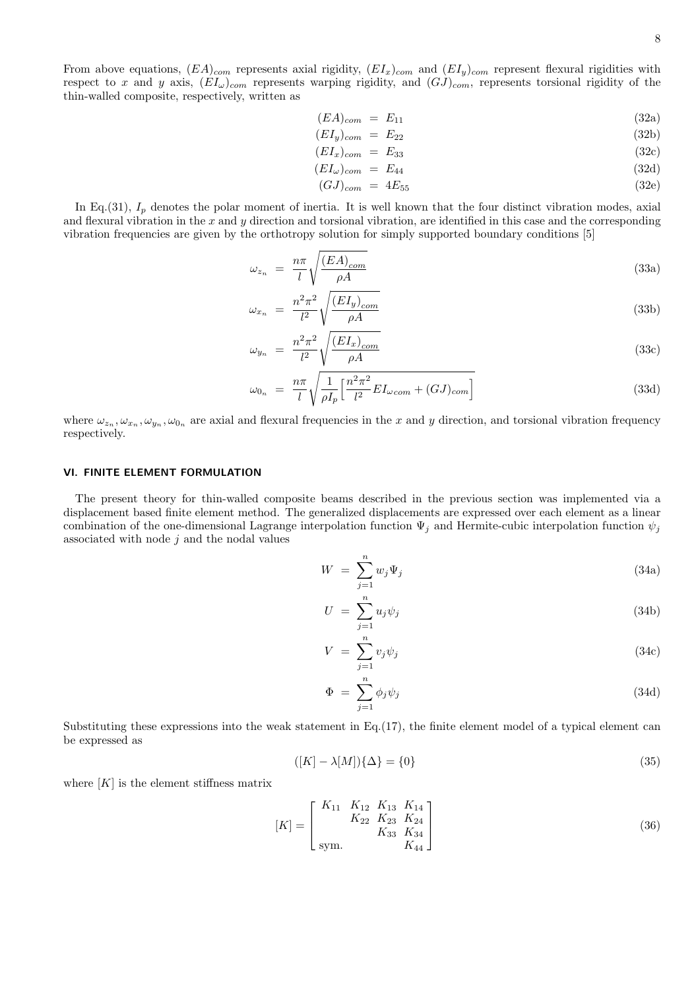From above equations,  $(EA)_{com}$  represents axial rigidity,  $(EI_x)_{com}$  and  $(EI_y)_{com}$  represent flexural rigidities with respect to x and y axis,  $(EI_{\omega})_{com}$  represents warping rigidity, and  $(GJ)_{com}$ , represents torsional rigidity of the thin-walled composite, respectively, written as

$$
(EA)_{com} = E_{11} \tag{32a}
$$

$$
(EI_y)_{com} = E_{22} \tag{32b}
$$

$$
(EI_x)_{com} = E_{33} \tag{32c}
$$

$$
(EI_{\omega})_{com} = E_{44} \tag{32d}
$$

$$
(GJ)_{com} = 4E_{55} \tag{32e}
$$

In Eq.(31),  $I_p$  denotes the polar moment of inertia. It is well known that the four distinct vibration modes, axial and flexural vibration in the  $x$  and  $y$  direction and torsional vibration, are identified in this case and the corresponding vibration frequencies are given by the orthotropy solution for simply supported boundary conditions [5]

$$
\omega_{z_n} = \frac{n\pi}{l} \sqrt{\frac{(EA)_{com}}{\rho A}}
$$
\n(33a)

$$
\omega_{x_n} = \frac{n^2 \pi^2}{l^2} \sqrt{\frac{(EI_y)_{com}}{\rho A}}
$$
\n(33b)

$$
\omega_{y_n} = \frac{n^2 \pi^2}{l^2} \sqrt{\frac{(EI_x)_{com}}{\rho A}} \tag{33c}
$$

$$
\omega_{0_n} = \frac{n\pi}{l} \sqrt{\frac{1}{\rho I_p} \left[ \frac{n^2 \pi^2}{l^2} E I_{\omega com} + (G J)_{com} \right]}
$$
(33d)

where  $\omega_{z_n}, \omega_{x_n}, \omega_{y_n}, \omega_{0_n}$  are axial and flexural frequencies in the x and y direction, and torsional vibration frequency respectively.

#### VI. FINITE ELEMENT FORMULATION

The present theory for thin-walled composite beams described in the previous section was implemented via a displacement based finite element method. The generalized displacements are expressed over each element as a linear combination of the one-dimensional Lagrange interpolation function  $\Psi_i$  and Hermite-cubic interpolation function  $\psi_i$ associated with node  $j$  and the nodal values

$$
W = \sum_{j=1}^{n} w_j \Psi_j \tag{34a}
$$

$$
U = \sum_{j=1}^{n} u_j \psi_j \tag{34b}
$$

$$
V = \sum_{j=1}^{n} v_j \psi_j \tag{34c}
$$

$$
\Phi = \sum_{j=1}^{n} \phi_j \psi_j \tag{34d}
$$

Substituting these expressions into the weak statement in Eq.(17), the finite element model of a typical element can be expressed as

$$
([K] - \lambda[M])\{\Delta\} = \{0\} \tag{35}
$$

where  $[K]$  is the element stiffness matrix

$$
[K] = \begin{bmatrix} K_{11} & K_{12} & K_{13} & K_{14} \\ K_{22} & K_{23} & K_{24} \\ K_{33} & K_{34} & K_{34} \\ \text{sym.} & & K_{44} \end{bmatrix}
$$
 (36)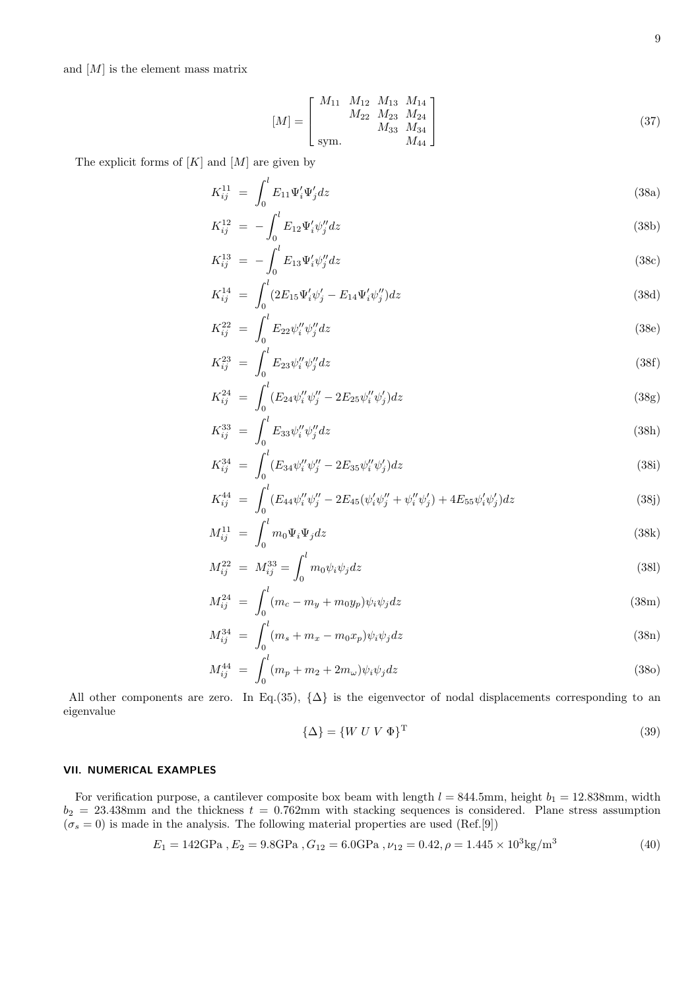and  $[M]$  is the element mass matrix

$$
[M] = \begin{bmatrix} M_{11} & M_{12} & M_{13} & M_{14} \\ M_{22} & M_{23} & M_{24} \\ M_{33} & M_{34} & M_{34} \\ \text{sym.} & M_{44} \end{bmatrix}
$$
 (37)

The explicit forms of  $[K]$  and  $[M]$  are given by

$$
K_{ij}^{11} = \int_0^l E_{11} \Psi_i' \Psi_j' dz \tag{38a}
$$

$$
K_{ij}^{12} = -\int_0^l E_{12} \Psi_i' \psi_j'' dz \tag{38b}
$$

$$
K_{ij}^{13} = -\int_0^l E_{13} \Psi_i' \psi_j'' dz \tag{38c}
$$

$$
K_{ij}^{14} = \int_0^l (2E_{15}\Psi'_i\psi'_j - E_{14}\Psi'_i\psi''_j) dz
$$
\n(38d)

$$
K_{ij}^{22} = \int_0^l E_{22} \psi_i'' \psi_j'' dz
$$
\n(38e)

$$
K_{ij}^{23} = \int_0^l E_{23} \psi_i'' \psi_j'' dz \tag{38f}
$$

$$
K_{ij}^{24} = \int_0^l (E_{24} \psi_i'' \psi_j'' - 2E_{25} \psi_i'' \psi_j') dz
$$
\n(38g)

$$
K_{ij}^{33} = \int_0^l E_{33} \psi_i'' \psi_j'' dz \tag{38h}
$$

$$
K_{ij}^{34} = \int_0^l (E_{34} \psi_i'' \psi_j'' - 2E_{35} \psi_i'' \psi_j') dz
$$
\n(38i)

$$
K_{ij}^{44} = \int_0^l (E_{44} \psi_i'' \psi_j'' - 2E_{45}(\psi_i' \psi_j'' + \psi_i'' \psi_j') + 4E_{55} \psi_i' \psi_j') dz \tag{38j}
$$

$$
M_{ij}^{11} = \int_0^l m_0 \Psi_i \Psi_j dz \tag{38k}
$$

$$
M_{ij}^{22} = M_{ij}^{33} = \int_0^l m_0 \psi_i \psi_j dz
$$
\n(381)

$$
M_{ij}^{24} = \int_0^l (m_c - m_y + m_0 y_p) \psi_i \psi_j dz
$$
 (38m)

$$
M_{ij}^{34} = \int_0^l (m_s + m_x - m_0 x_p) \psi_i \psi_j dz
$$
 (38n)

$$
M_{ij}^{44} = \int_0^l (m_p + m_2 + 2m_\omega) \psi_i \psi_j dz
$$
 (380)

All other components are zero. In Eq.(35),  $\{\Delta\}$  is the eigenvector of nodal displacements corresponding to an eigenvalue

$$
\{\Delta\} = \{W\ U\ V\ \Phi\}^{\mathrm{T}}
$$
\n<sup>(39)</sup>

# VII. NUMERICAL EXAMPLES

For verification purpose, a cantilever composite box beam with length  $l = 844.5$ mm, height  $b_1 = 12.838$ mm, width  $b_2 = 23.438$ mm and the thickness  $t = 0.762$ mm with stacking sequences is considered. Plane stress assumption  $(\sigma_s = 0)$  is made in the analysis. The following material properties are used (Ref.[9])

$$
E_1 = 142 \text{GPa}, E_2 = 9.8 \text{GPa}, G_{12} = 6.0 \text{GPa}, \nu_{12} = 0.42, \rho = 1.445 \times 10^3 \text{kg/m}^3 \tag{40}
$$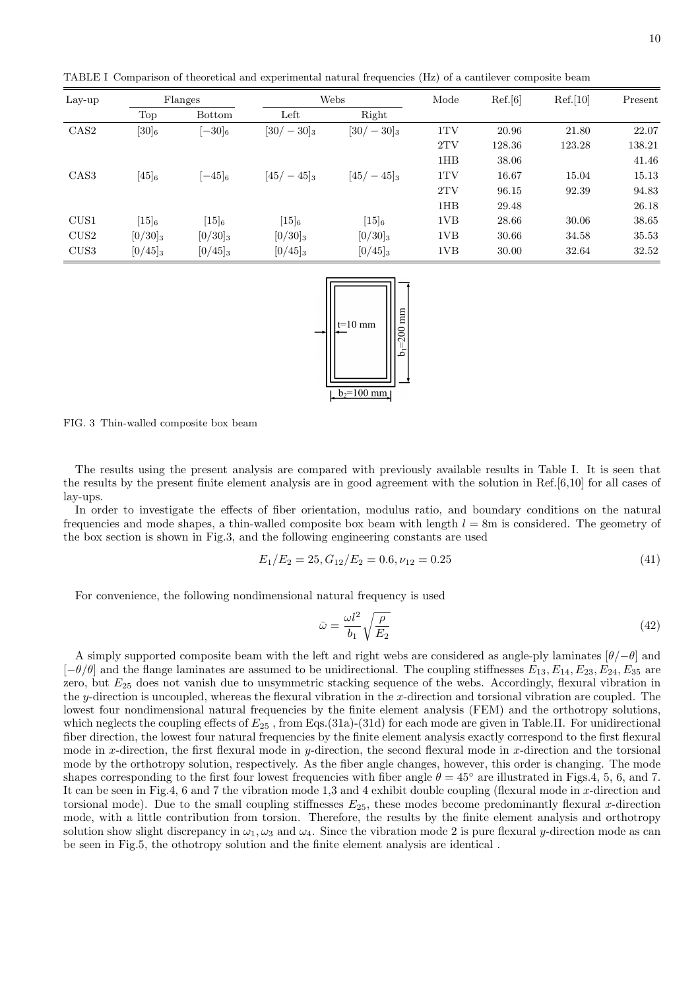TABLE I Comparison of theoretical and experimental natural frequencies (Hz) of a cantilever composite beam

| $_{\rm Lay-up}$  | Flanges    |               |              | Webs         |                 | Ref.[6] | Ref.[10] | Present |
|------------------|------------|---------------|--------------|--------------|-----------------|---------|----------|---------|
|                  | Top        | <b>Bottom</b> | Left         | Right        |                 |         |          |         |
| CAS <sub>2</sub> | $[30]_6$   | $[-30]_{6}$   | $[30/-30]_3$ | $[30/-30]_3$ | 1TV             | 20.96   | 21.80    | 22.07   |
|                  |            |               |              |              | 2TV             | 128.36  | 123.28   | 138.21  |
|                  |            |               |              |              | 1HB             | 38.06   |          | 41.46   |
| CAS <sub>3</sub> | $[45]_6$   | $[-45]_6$     | $[45/-45]_3$ | $[45/-45]_3$ | 1TV             | 16.67   | 15.04    | 15.13   |
|                  |            |               |              |              | 2TV             | 96.15   | 92.39    | 94.83   |
|                  |            |               |              |              | 1HB             | 29.48   |          | 26.18   |
| CUS1             | $[15]_6$   | $[15]_6$      | $[15]_6$     | $[15]_6$     | 1VB             | 28.66   | 30.06    | 38.65   |
| CUS <sub>2</sub> | $[0/30]_3$ | $[0/30]_3$    | $[0/30]_3$   | $[0/30]_3$   | 1VB             | 30.66   | 34.58    | 35.53   |
| CUS <sub>3</sub> | $[0/45]_3$ | $[0/45]_3$    | $[0/45]_3$   | $[0/45]_3$   | 1V <sub>B</sub> | 30.00   | 32.64    | 32.52   |



FIG. 3 Thin-walled composite box beam

The results using the present analysis are compared with previously available results in Table I. It is seen that the results by the present finite element analysis are in good agreement with the solution in Ref.[6,10] for all cases of lay-ups.

In order to investigate the effects of fiber orientation, modulus ratio, and boundary conditions on the natural frequencies and mode shapes, a thin-walled composite box beam with length  $l = 8$ m is considered. The geometry of the box section is shown in Fig.3, and the following engineering constants are used

$$
E_1/E_2 = 25, G_{12}/E_2 = 0.6, \nu_{12} = 0.25 \tag{41}
$$

For convenience, the following nondimensional natural frequency is used

$$
\bar{\omega} = \frac{\omega l^2}{b_1} \sqrt{\frac{\rho}{E_2}}
$$
\n(42)

A simply supported composite beam with the left and right webs are considered as angle-ply laminates  $[\theta/\theta]$  and  $[-\theta/\theta]$  and the flange laminates are assumed to be unidirectional. The coupling stiffnesses  $E_{13}$ ,  $E_{14}$ ,  $E_{23}$ ,  $E_{24}$ ,  $E_{35}$  are zero, but  $E_{25}$  does not vanish due to unsymmetric stacking sequence of the webs. Accordingly, flexural vibration in the y-direction is uncoupled, whereas the flexural vibration in the x-direction and torsional vibration are coupled. The lowest four nondimensional natural frequencies by the finite element analysis (FEM) and the orthotropy solutions, which neglects the coupling effects of  $E_{25}$ , from Eqs.(31a)-(31d) for each mode are given in Table.II. For unidirectional fiber direction, the lowest four natural frequencies by the finite element analysis exactly correspond to the first flexural mode in x-direction, the first flexural mode in y-direction, the second flexural mode in x-direction and the torsional mode by the orthotropy solution, respectively. As the fiber angle changes, however, this order is changing. The mode shapes corresponding to the first four lowest frequencies with fiber angle  $\theta = 45^\circ$  are illustrated in Figs.4, 5, 6, and 7. It can be seen in Fig.4, 6 and 7 the vibration mode 1,3 and 4 exhibit double coupling (flexural mode in x-direction and torsional mode). Due to the small coupling stiffnesses  $E_{25}$ , these modes become predominantly flexural x-direction mode, with a little contribution from torsion. Therefore, the results by the finite element analysis and orthotropy solution show slight discrepancy in  $\omega_1$ ,  $\omega_3$  and  $\omega_4$ . Since the vibration mode 2 is pure flexural y-direction mode as can be seen in Fig.5, the othotropy solution and the finite element analysis are identical .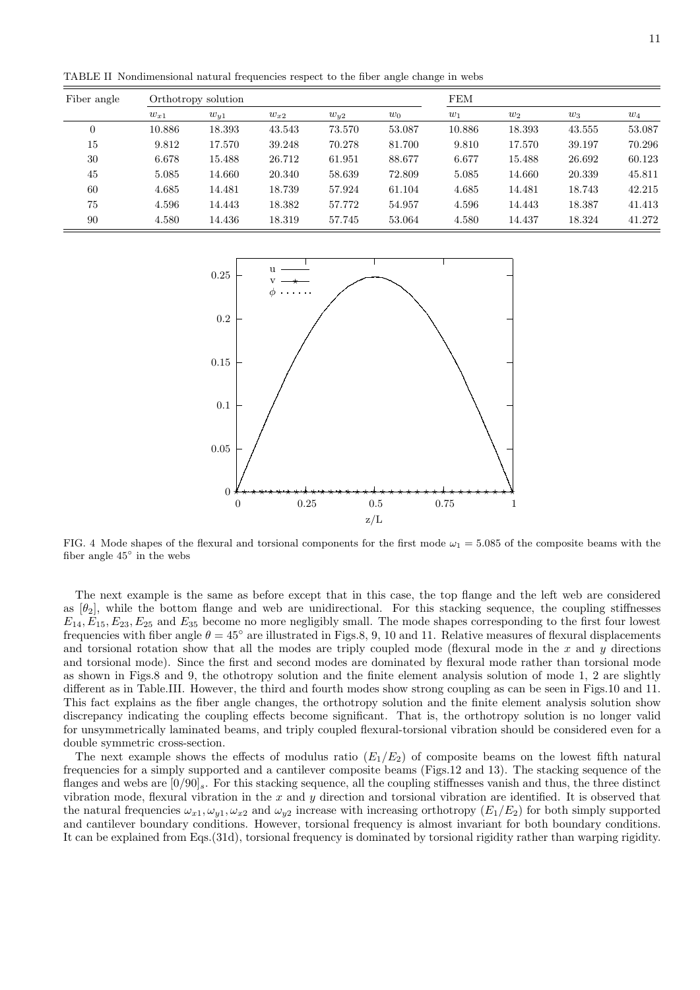TABLE II Nondimensional natural frequencies respect to the fiber angle change in webs

| Fiber angle |          | Orthotropy solution |          | <b>FEM</b> |        |        |        |        |        |
|-------------|----------|---------------------|----------|------------|--------|--------|--------|--------|--------|
|             | $w_{x1}$ | $w_{y1}$            | $w_{x2}$ | $w_{u2}$   | $w_0$  | $w_1$  | $w_2$  | $w_3$  | $w_4$  |
| $\theta$    | 10.886   | 18.393              | 43.543   | 73.570     | 53.087 | 10.886 | 18.393 | 43.555 | 53.087 |
| 15          | 9.812    | 17.570              | 39.248   | 70.278     | 81.700 | 9.810  | 17.570 | 39.197 | 70.296 |
| 30          | 6.678    | 15.488              | 26.712   | 61.951     | 88.677 | 6.677  | 15.488 | 26.692 | 60.123 |
| 45          | 5.085    | 14.660              | 20.340   | 58.639     | 72.809 | 5.085  | 14.660 | 20.339 | 45.811 |
| 60          | 4.685    | 14.481              | 18.739   | 57.924     | 61.104 | 4.685  | 14.481 | 18.743 | 42.215 |
| 75          | 4.596    | 14.443              | 18.382   | 57.772     | 54.957 | 4.596  | 14.443 | 18.387 | 41.413 |
| 90          | 4.580    | 14.436              | 18.319   | 57.745     | 53.064 | 4.580  | 14.437 | 18.324 | 41.272 |



FIG. 4 Mode shapes of the flexural and torsional components for the first mode  $\omega_1 = 5.085$  of the composite beams with the fiber angle 45◦ in the webs

The next example is the same as before except that in this case, the top flange and the left web are considered as  $[\theta_2]$ , while the bottom flange and web are unidirectional. For this stacking sequence, the coupling stiffnesses  $E_{14}, E_{15}, E_{23}, E_{25}$  and  $E_{35}$  become no more negligibly small. The mode shapes corresponding to the first four lowest frequencies with fiber angle  $\theta = 45^\circ$  are illustrated in Figs.8, 9, 10 and 11. Relative measures of flexural displacements and torsional rotation show that all the modes are triply coupled mode (flexural mode in the  $x$  and  $y$  directions and torsional mode). Since the first and second modes are dominated by flexural mode rather than torsional mode as shown in Figs.8 and 9, the othotropy solution and the finite element analysis solution of mode 1, 2 are slightly different as in Table.III. However, the third and fourth modes show strong coupling as can be seen in Figs.10 and 11. This fact explains as the fiber angle changes, the orthotropy solution and the finite element analysis solution show discrepancy indicating the coupling effects become significant. That is, the orthotropy solution is no longer valid for unsymmetrically laminated beams, and triply coupled flexural-torsional vibration should be considered even for a double symmetric cross-section.

The next example shows the effects of modulus ratio  $(E_1/E_2)$  of composite beams on the lowest fifth natural frequencies for a simply supported and a cantilever composite beams (Figs.12 and 13). The stacking sequence of the flanges and webs are  $[0/90]_s$ . For this stacking sequence, all the coupling stiffnesses vanish and thus, the three distinct vibration mode, flexural vibration in the  $x$  and  $y$  direction and torsional vibration are identified. It is observed that the natural frequencies  $\omega_{x1}, \omega_{y1}, \omega_{x2}$  and  $\omega_{y2}$  increase with increasing orthotropy  $(E_1/E_2)$  for both simply supported and cantilever boundary conditions. However, torsional frequency is almost invariant for both boundary conditions. It can be explained from Eqs.(31d), torsional frequency is dominated by torsional rigidity rather than warping rigidity.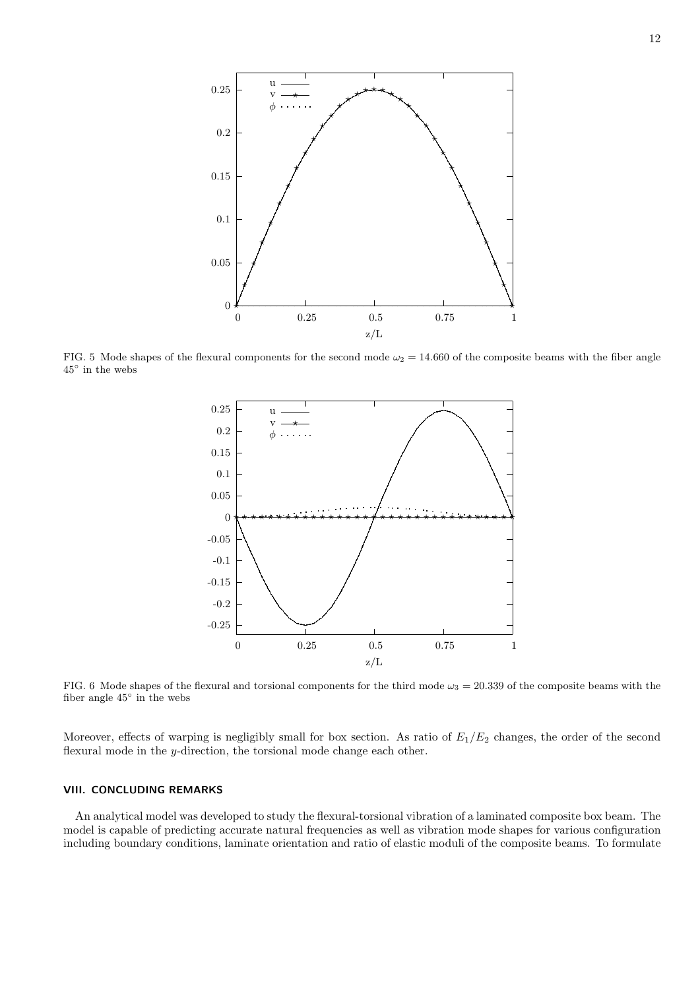

FIG. 5 Mode shapes of the flexural components for the second mode  $\omega_2 = 14.660$  of the composite beams with the fiber angle 45◦ in the webs



FIG. 6 Mode shapes of the flexural and torsional components for the third mode  $\omega_3 = 20.339$  of the composite beams with the fiber angle 45◦ in the webs

Moreover, effects of warping is negligibly small for box section. As ratio of  $E_1/E_2$  changes, the order of the second flexural mode in the y-direction, the torsional mode change each other.

#### VIII. CONCLUDING REMARKS

An analytical model was developed to study the flexural-torsional vibration of a laminated composite box beam. The model is capable of predicting accurate natural frequencies as well as vibration mode shapes for various configuration including boundary conditions, laminate orientation and ratio of elastic moduli of the composite beams. To formulate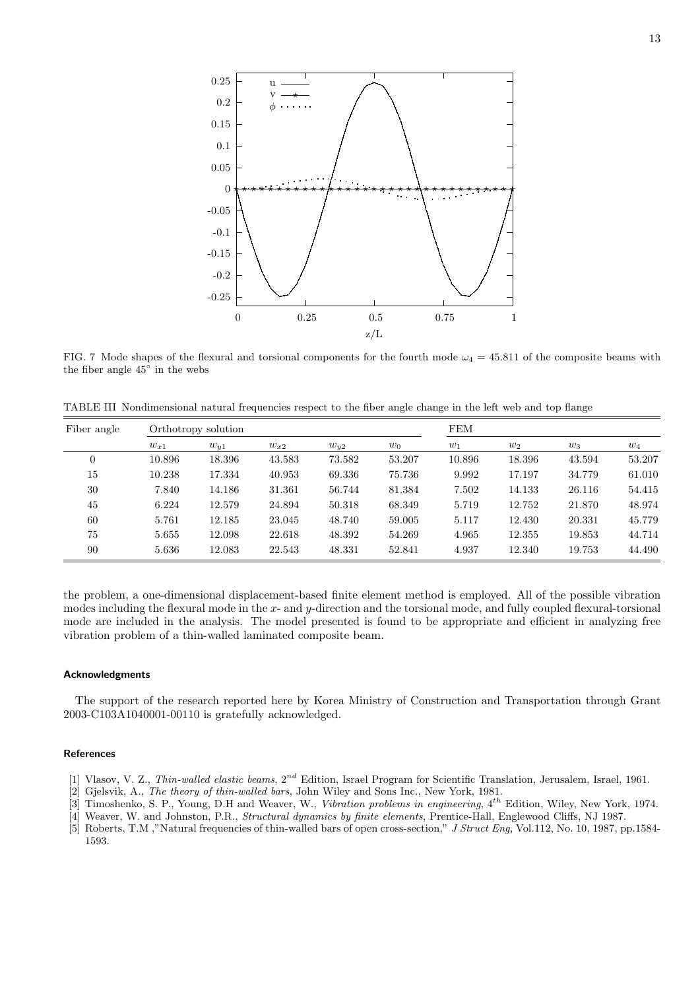

FIG. 7 Mode shapes of the flexural and torsional components for the fourth mode  $\omega_4 = 45.811$  of the composite beams with the fiber angle 45◦ in the webs

TABLE III Nondimensional natural frequencies respect to the fiber angle change in the left web and top flange

| Fiber angle | Orthotropy solution |          |          |          |        | FEM    |        |        |        |
|-------------|---------------------|----------|----------|----------|--------|--------|--------|--------|--------|
|             | $w_{x1}$            | $w_{y1}$ | $w_{x2}$ | $w_{u2}$ | $w_0$  | $w_1$  | $w_2$  | $w_3$  | $w_4$  |
| $\theta$    | 10.896              | 18.396   | 43.583   | 73.582   | 53.207 | 10.896 | 18.396 | 43.594 | 53.207 |
| 15          | 10.238              | 17.334   | 40.953   | 69.336   | 75.736 | 9.992  | 17.197 | 34.779 | 61.010 |
| 30          | 7.840               | 14.186   | 31.361   | 56.744   | 81.384 | 7.502  | 14.133 | 26.116 | 54.415 |
| 45          | 6.224               | 12.579   | 24.894   | 50.318   | 68.349 | 5.719  | 12.752 | 21.870 | 48.974 |
| 60          | 5.761               | 12.185   | 23.045   | 48.740   | 59.005 | 5.117  | 12.430 | 20.331 | 45.779 |
| 75          | 5.655               | 12.098   | 22.618   | 48.392   | 54.269 | 4.965  | 12.355 | 19.853 | 44.714 |
| 90          | 5.636               | 12.083   | 22.543   | 48.331   | 52.841 | 4.937  | 12.340 | 19.753 | 44.490 |

the problem, a one-dimensional displacement-based finite element method is employed. All of the possible vibration modes including the flexural mode in the  $x$ - and  $y$ -direction and the torsional mode, and fully coupled flexural-torsional mode are included in the analysis. The model presented is found to be appropriate and efficient in analyzing free vibration problem of a thin-walled laminated composite beam.

#### Acknowledgments

The support of the research reported here by Korea Ministry of Construction and Transportation through Grant 2003-C103A1040001-00110 is gratefully acknowledged.

#### References

- [1] Vlasov, V. Z., Thin-walled elastic beams,  $2^{nd}$  Edition, Israel Program for Scientific Translation, Jerusalem, Israel, 1961.
- [2] Gjelsvik, A., The theory of thin-walled bars, John Wiley and Sons Inc., New York, 1981.
- [3] Timoshenko, S. P., Young, D.H and Weaver, W., Vibration problems in engineering, 4<sup>th</sup> Edition, Wiley, New York, 1974.
- [4] Weaver, W. and Johnston, P.R., Structural dynamics by finite elements, Prentice-Hall, Englewood Cliffs, NJ 1987.
- [5] Roberts, T.M ,"Natural frequencies of thin-walled bars of open cross-section," J Struct Eng, Vol.112, No. 10, 1987, pp.1584-1593.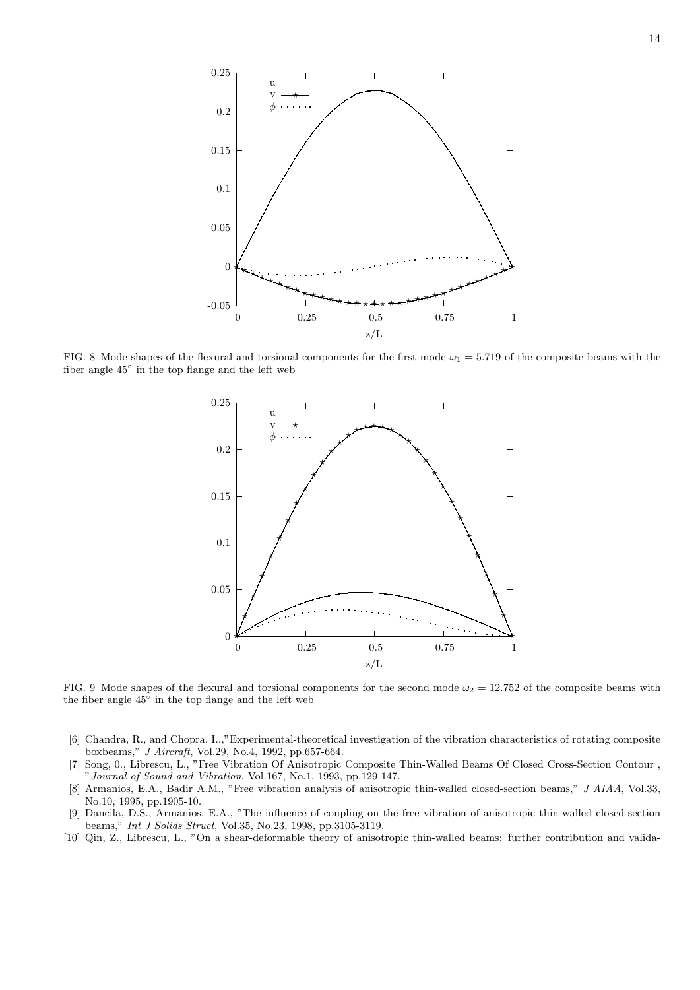

FIG. 8 Mode shapes of the flexural and torsional components for the first mode  $\omega_1 = 5.719$  of the composite beams with the fiber angle 45◦ in the top flange and the left web



FIG. 9 Mode shapes of the flexural and torsional components for the second mode  $\omega_2 = 12.752$  of the composite beams with the fiber angle 45◦ in the top flange and the left web

- [6] Chandra, R., and Chopra, I.,,"Experimental-theoretical investigation of the vibration characteristics of rotating composite boxbeams," J Aircraft, Vol.29, No.4, 1992, pp.657-664.
- [7] Song, 0., Librescu, L., "Free Vibration Of Anisotropic Composite Thin-Walled Beams Of Closed Cross-Section Contour , "Journal of Sound and Vibration, Vol.167, No.1, 1993, pp.129-147.
- [8] Armanios, E.A., Badir A.M., "Free vibration analysis of anisotropic thin-walled closed-section beams," J AIAA, Vol.33, No.10, 1995, pp.1905-10.
- [9] Dancila, D.S., Armanios, E.A., "The influence of coupling on the free vibration of anisotropic thin-walled closed-section beams," Int J Solids Struct, Vol.35, No.23, 1998, pp.3105-3119.
- [10] Qin, Z., Librescu, L., "On a shear-deformable theory of anisotropic thin-walled beams: further contribution and valida-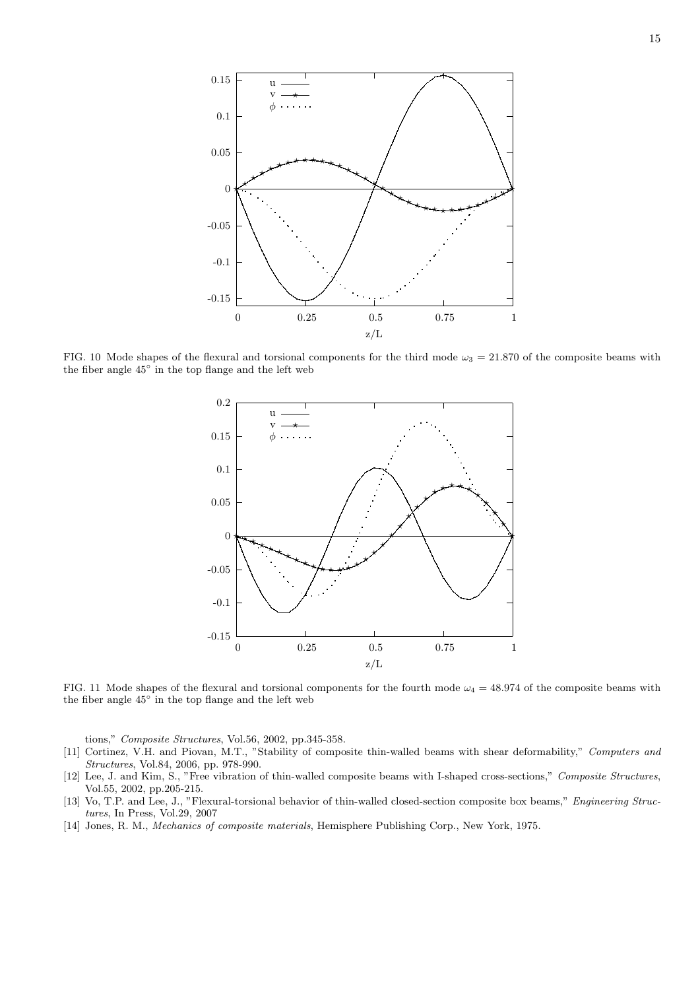

FIG. 10 Mode shapes of the flexural and torsional components for the third mode  $\omega_3 = 21.870$  of the composite beams with the fiber angle 45◦ in the top flange and the left web



FIG. 11 Mode shapes of the flexural and torsional components for the fourth mode  $\omega_4 = 48.974$  of the composite beams with the fiber angle 45◦ in the top flange and the left web

tions," Composite Structures, Vol.56, 2002, pp.345-358.

- [11] Cortinez, V.H. and Piovan, M.T., "Stability of composite thin-walled beams with shear deformability," Computers and Structures, Vol.84, 2006, pp. 978-990.
- [12] Lee, J. and Kim, S., "Free vibration of thin-walled composite beams with I-shaped cross-sections," Composite Structures, Vol.55, 2002, pp.205-215.
- [13] Vo, T.P. and Lee, J., "Flexural-torsional behavior of thin-walled closed-section composite box beams," Engineering Structures, In Press, Vol.29, 2007
- [14] Jones, R. M., Mechanics of composite materials, Hemisphere Publishing Corp., New York, 1975.